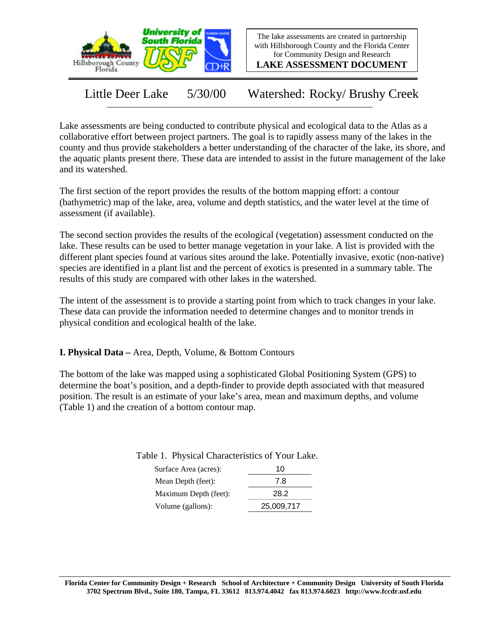

The lake assessments are created in partnership with Hillsborough County and the Florida Center for Community Design and Research

**LAKE ASSESSMENT DOCUMENT**

Little Deer Lake 5/30/00 Watershed: Rocky/ Brushy Creek

Lake assessments are being conducted to contribute physical and ecological data to the Atlas as a collaborative effort between project partners. The goal is to rapidly assess many of the lakes in the county and thus provide stakeholders a better understanding of the character of the lake, its shore, and the aquatic plants present there. These data are intended to assist in the future management of the lake and its watershed.

The first section of the report provides the results of the bottom mapping effort: a contour (bathymetric) map of the lake, area, volume and depth statistics, and the water level at the time of assessment (if available).

The second section provides the results of the ecological (vegetation) assessment conducted on the lake. These results can be used to better manage vegetation in your lake. A list is provided with the different plant species found at various sites around the lake. Potentially invasive, exotic (non-native) species are identified in a plant list and the percent of exotics is presented in a summary table. The results of this study are compared with other lakes in the watershed.

The intent of the assessment is to provide a starting point from which to track changes in your lake. These data can provide the information needed to determine changes and to monitor trends in physical condition and ecological health of the lake.

**I. Physical Data –** Area, Depth, Volume, & Bottom Contours

The bottom of the lake was mapped using a sophisticated Global Positioning System (GPS) to determine the boat's position, and a depth-finder to provide depth associated with that measured position. The result is an estimate of your lake's area, mean and maximum depths, and volume (Table 1) and the creation of a bottom contour map.

Table 1. Physical Characteristics of Your Lake.

| 10         |
|------------|
| 7.8        |
| 28.2       |
| 25,009,717 |
|            |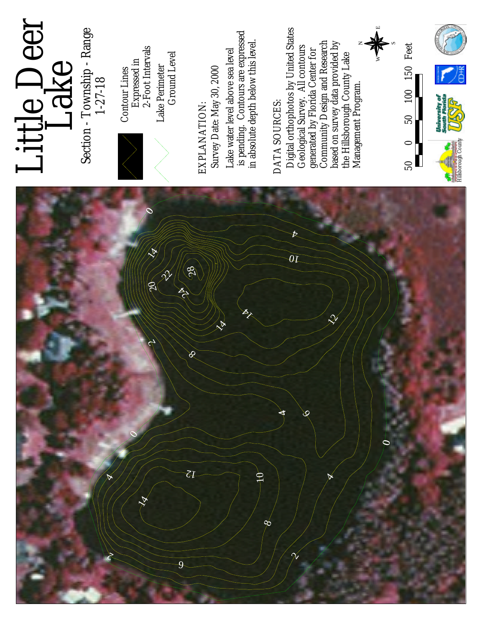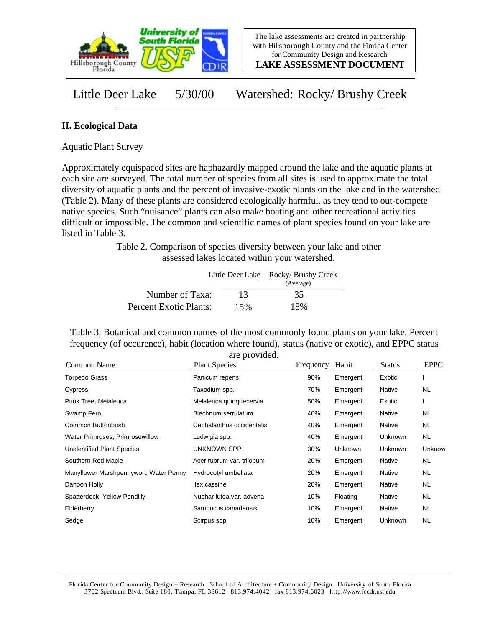

**LAKE ASSESSMENT DOCUMENT**

Little Deer Lake 5/30/00 Watershed: Rocky/ Brushy Creek

## **II. Ecological Data**

Aquatic Plant Survey

Approximately equispaced sites are haphazardly mapped around the lake and the aquatic plants at each site are surveyed. The total number of species from all sites is used to approximate the total diversity of aquatic plants and the percent of invasive-exotic plants on the lake and in the watershed (Table 2). Many of these plants are considered ecologically harmful, as they tend to out-compete native species. Such "nuisance" plants can also make boating and other recreational activities difficult or impossible. The common and scientific names of plant species found on your lake are listed in Table 3.

> Table 2. Comparison of species diversity between your lake and other assessed lakes located within your watershed.

|                               |     | Little Deer Lake Rocky/ Brushy Creek |
|-------------------------------|-----|--------------------------------------|
|                               |     | (Average)                            |
| Number of Taxa:               | 13  | 35                                   |
| <b>Percent Exotic Plants:</b> | 15% | 18%                                  |

Table 3. Botanical and common names of the most commonly found plants on your lake. Percent frequency (of occurence), habit (location where found), status (native or exotic), and EPPC status are provided.

| Common Name                            | <b>Plant Species</b>      | Frequency | Habit    | <b>Status</b> | <b>EPPC</b> |
|----------------------------------------|---------------------------|-----------|----------|---------------|-------------|
| <b>Torpedo Grass</b>                   | Panicum repens            | 90%       | Emergent | Exotic        |             |
| Cypress                                | Taxodium spp.             | 70%       | Emergent | Native        | <b>NL</b>   |
| Punk Tree, Melaleuca                   | Melaleuca quinquenervia   | 50%       | Emergent | Exotic        |             |
| Swamp Fern                             | Blechnum serrulatum       | 40%       | Emergent | Native        | NL          |
| Common Buttonbush                      | Cephalanthus occidentalis | 40%       | Emergent | Native        | NL.         |
| Water Primroses, Primrosewillow        | Ludwigia spp.             | 40%       | Emergent | Unknown       | NL.         |
| Unidentified Plant Species             | UNKNOWN SPP               | 30%       | Unknown  | Unknown       | Unknow      |
| Southern Red Maple                     | Acer rubrum var. trilobum | 20%       | Emergent | Native        | <b>NL</b>   |
| Manyflower Marshpennywort, Water Penny | Hydrocotyl umbellata      | 20%       | Emergent | Native        | <b>NL</b>   |
| Dahoon Holly                           | llex cassine              | 20%       | Emergent | Native        | <b>NL</b>   |
| Spatterdock, Yellow Pondlily           | Nuphar lutea var. advena  | 10%       | Floating | Native        | <b>NL</b>   |
| Elderberry                             | Sambucus canadensis       | 10%       | Emergent | Native        | NL.         |
| Sedge                                  | Scirpus spp.              | 10%       | Emergent | Unknown       | NL.         |

Florida Center for Community Design + Research School of Architecture + Community Design University of South Florida 3702 Spectrum Blvd., Suite 180, Tampa, FL 33612 813.974.4042 fax 813.974.6023 http://www.fccdr.usf.edu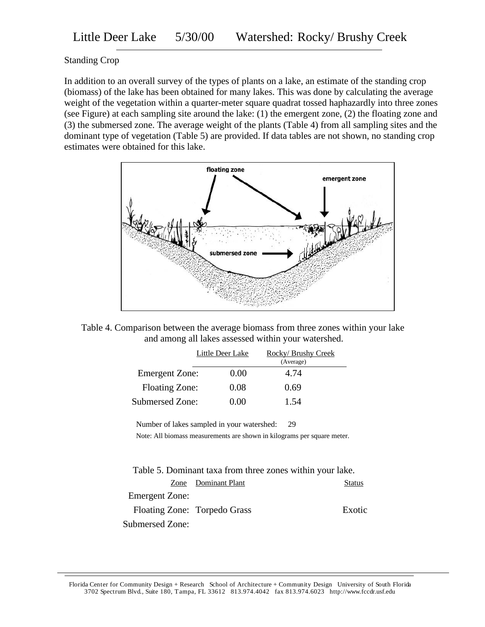## Standing Crop

In addition to an overall survey of the types of plants on a lake, an estimate of the standing crop (biomass) of the lake has been obtained for many lakes. This was done by calculating the average weight of the vegetation within a quarter-meter square quadrat tossed haphazardly into three zones (see Figure) at each sampling site around the lake: (1) the emergent zone, (2) the floating zone and (3) the submersed zone. The average weight of the plants (Table 4) from all sampling sites and the dominant type of vegetation (Table 5) are provided. If data tables are not shown, no standing crop estimates were obtained for this lake.



Table 4. Comparison between the average biomass from three zones within your lake and among all lakes assessed within your watershed.

|                       | Little Deer Lake | Rocky/Brushy Creek |  |
|-----------------------|------------------|--------------------|--|
|                       |                  | (Average)          |  |
| <b>Emergent Zone:</b> | 0.00             | 4.74               |  |
| <b>Floating Zone:</b> | 0.08             | 0.69               |  |
| Submersed Zone:       | 0 OO             | 1.54               |  |

Number of lakes sampled in your watershed: 29

Note: All biomass measurements are shown in kilograms per square meter.

| Table 5. Dominant taxa from three zones within your lake. |                              |               |
|-----------------------------------------------------------|------------------------------|---------------|
|                                                           | Zone Dominant Plant          | <b>Status</b> |
| <b>Emergent Zone:</b>                                     |                              |               |
|                                                           | Floating Zone: Torpedo Grass | Exotic        |
| <b>Submersed Zone:</b>                                    |                              |               |